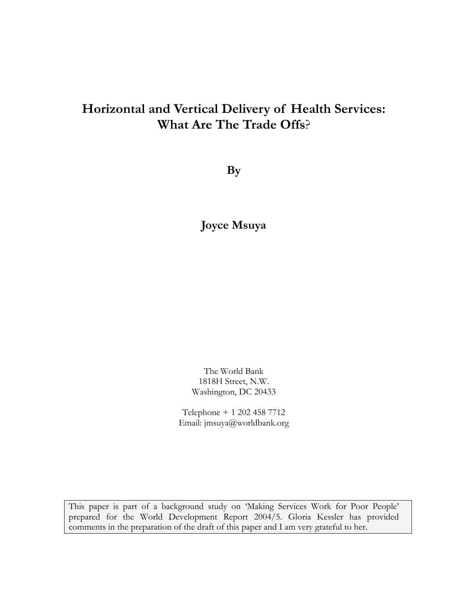# **Horizontal and Vertical Delivery of Health Services: What Are The Trade Offs**?

**By** 

**Joyce Msuya**

The World Bank 1818H Street, N.W. Washington, DC 20433

Telephone + 1 202 458 7712 Email: jmsuya@worldbank.org

This paper is part of a background study on 'Making Services Work for Poor People' prepared for the World Development Report 2004/5. Gloria Kessler has provided comments in the preparation of the draft of this paper and I am very grateful to her.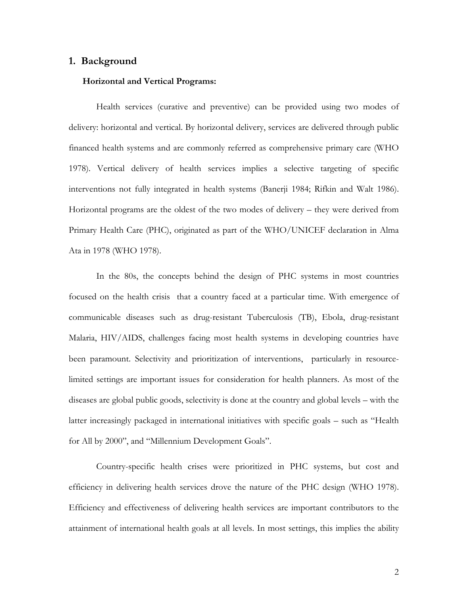#### **1. Background**

#### **Horizontal and Vertical Programs:**

 Health services (curative and preventive) can be provided using two modes of delivery: horizontal and vertical. By horizontal delivery, services are delivered through public financed health systems and are commonly referred as comprehensive primary care (WHO 1978). Vertical delivery of health services implies a selective targeting of specific interventions not fully integrated in health systems (Banerji 1984; Rifkin and Walt 1986). Horizontal programs are the oldest of the two modes of delivery – they were derived from Primary Health Care (PHC), originated as part of the WHO/UNICEF declaration in Alma Ata in 1978 (WHO 1978).

In the 80s, the concepts behind the design of PHC systems in most countries focused on the health crisis that a country faced at a particular time. With emergence of communicable diseases such as drug-resistant Tuberculosis (TB), Ebola, drug-resistant Malaria, HIV/AIDS, challenges facing most health systems in developing countries have been paramount. Selectivity and prioritization of interventions, particularly in resourcelimited settings are important issues for consideration for health planners. As most of the diseases are global public goods, selectivity is done at the country and global levels – with the latter increasingly packaged in international initiatives with specific goals – such as "Health for All by 2000", and "Millennium Development Goals".

Country-specific health crises were prioritized in PHC systems, but cost and efficiency in delivering health services drove the nature of the PHC design (WHO 1978). Efficiency and effectiveness of delivering health services are important contributors to the attainment of international health goals at all levels. In most settings, this implies the ability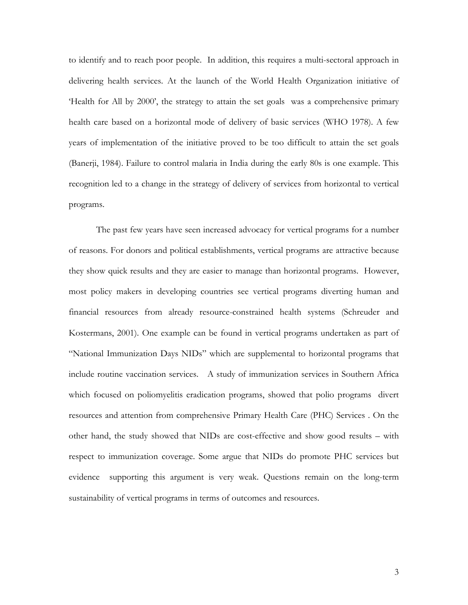to identify and to reach poor people. In addition, this requires a multi-sectoral approach in delivering health services. At the launch of the World Health Organization initiative of 'Health for All by 2000', the strategy to attain the set goals was a comprehensive primary health care based on a horizontal mode of delivery of basic services (WHO 1978). A few years of implementation of the initiative proved to be too difficult to attain the set goals (Banerji, 1984). Failure to control malaria in India during the early 80s is one example. This recognition led to a change in the strategy of delivery of services from horizontal to vertical programs.

The past few years have seen increased advocacy for vertical programs for a number of reasons. For donors and political establishments, vertical programs are attractive because they show quick results and they are easier to manage than horizontal programs. However, most policy makers in developing countries see vertical programs diverting human and financial resources from already resource-constrained health systems (Schreuder and Kostermans, 2001). One example can be found in vertical programs undertaken as part of "National Immunization Days NIDs" which are supplemental to horizontal programs that include routine vaccination services. A study of immunization services in Southern Africa which focused on poliomyelitis eradication programs, showed that polio programs divert resources and attention from comprehensive Primary Health Care (PHC) Services . On the other hand, the study showed that NIDs are cost-effective and show good results – with respect to immunization coverage. Some argue that NIDs do promote PHC services but evidence supporting this argument is very weak. Questions remain on the long-term sustainability of vertical programs in terms of outcomes and resources.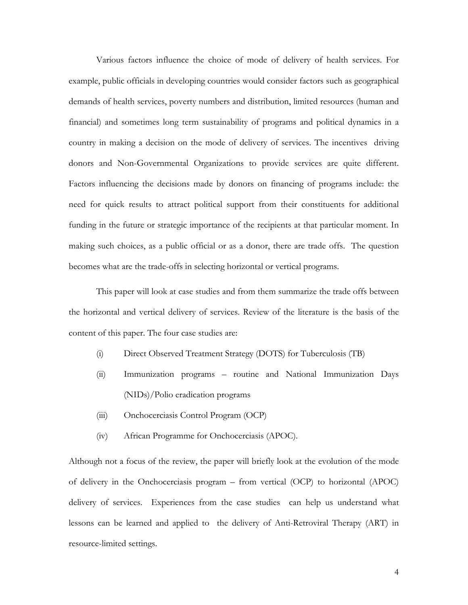Various factors influence the choice of mode of delivery of health services. For example, public officials in developing countries would consider factors such as geographical demands of health services, poverty numbers and distribution, limited resources (human and financial) and sometimes long term sustainability of programs and political dynamics in a country in making a decision on the mode of delivery of services. The incentives driving donors and Non-Governmental Organizations to provide services are quite different. Factors influencing the decisions made by donors on financing of programs include: the need for quick results to attract political support from their constituents for additional funding in the future or strategic importance of the recipients at that particular moment. In making such choices, as a public official or as a donor, there are trade offs. The question becomes what are the trade-offs in selecting horizontal or vertical programs.

This paper will look at case studies and from them summarize the trade offs between the horizontal and vertical delivery of services. Review of the literature is the basis of the content of this paper. The four case studies are:

- (i) Direct Observed Treatment Strategy (DOTS) for Tuberculosis (TB)
- (ii) Immunization programs routine and National Immunization Days (NIDs)/Polio eradication programs
- (iii) Onchocerciasis Control Program (OCP)
- (iv) African Programme for Onchocerciasis (APOC).

Although not a focus of the review, the paper will briefly look at the evolution of the mode of delivery in the Onchocerciasis program – from vertical (OCP) to horizontal (APOC) delivery of services. Experiences from the case studies can help us understand what lessons can be learned and applied to the delivery of Anti-Retroviral Therapy (ART) in resource-limited settings.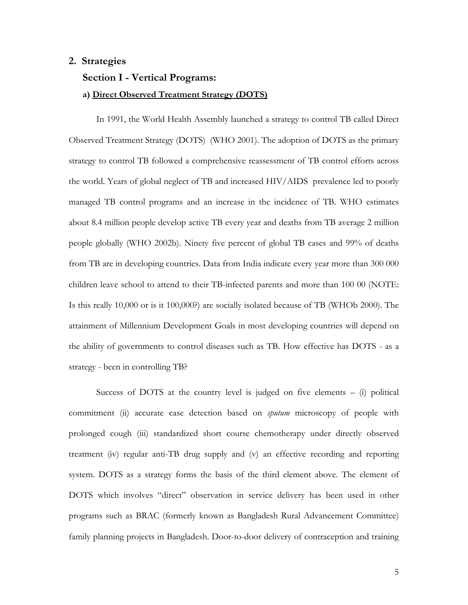# **2. Strategies**

#### **Section I - Vertical Programs:**

#### **a) Direct Observed Treatment Strategy (DOTS)**

 In 1991, the World Health Assembly launched a strategy to control TB called Direct Observed Treatment Strategy (DOTS) (WHO 2001). The adoption of DOTS as the primary strategy to control TB followed a comprehensive reassessment of TB control efforts across the world. Years of global neglect of TB and increased HIV/AIDS prevalence led to poorly managed TB control programs and an increase in the incidence of TB. WHO estimates about 8.4 million people develop active TB every year and deaths from TB average 2 million people globally (WHO 2002b). Ninety five percent of global TB cases and 99% of deaths from TB are in developing countries. Data from India indicate every year more than 300 000 children leave school to attend to their TB-infected parents and more than 100 00 (NOTE: Is this really 10,000 or is it 100,000?) are socially isolated because of TB (WHOb 2000). The attainment of Millennium Development Goals in most developing countries will depend on the ability of governments to control diseases such as TB. How effective has DOTS - as a strategy - been in controlling TB?

Success of DOTS at the country level is judged on five elements  $-$  (i) political commitment (ii) accurate case detection based on *sputum* microscopy of people with prolonged cough (iii) standardized short course chemotherapy under directly observed treatment (iv) regular anti-TB drug supply and (v) an effective recording and reporting system. DOTS as a strategy forms the basis of the third element above. The element of DOTS which involves "direct" observation in service delivery has been used in other programs such as BRAC (formerly known as Bangladesh Rural Advancement Committee) family planning projects in Bangladesh. Door-to-door delivery of contraception and training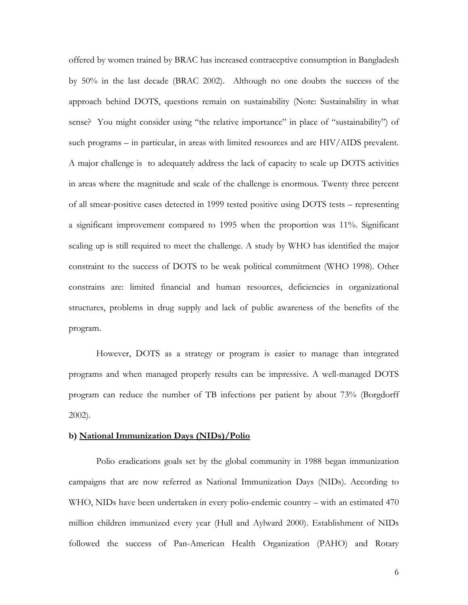offered by women trained by BRAC has increased contraceptive consumption in Bangladesh by 50% in the last decade (BRAC 2002). Although no one doubts the success of the approach behind DOTS, questions remain on sustainability (Note: Sustainability in what sense? You might consider using "the relative importance" in place of "sustainability") of such programs – in particular, in areas with limited resources and are HIV/AIDS prevalent. A major challenge is to adequately address the lack of capacity to scale up DOTS activities in areas where the magnitude and scale of the challenge is enormous. Twenty three percent of all smear-positive cases detected in 1999 tested positive using DOTS tests – representing a significant improvement compared to 1995 when the proportion was 11%. Significant scaling up is still required to meet the challenge. A study by WHO has identified the major constraint to the success of DOTS to be weak political commitment (WHO 1998). Other constrains are: limited financial and human resources, deficiencies in organizational structures, problems in drug supply and lack of public awareness of the benefits of the program.

However, DOTS as a strategy or program is easier to manage than integrated programs and when managed properly results can be impressive. A well-managed DOTS program can reduce the number of TB infections per patient by about 73% (Borgdorff 2002).

#### **b) National Immunization Days (NIDs)/Polio**

 Polio eradications goals set by the global community in 1988 began immunization campaigns that are now referred as National Immunization Days (NIDs). According to WHO, NIDs have been undertaken in every polio-endemic country – with an estimated 470 million children immunized every year (Hull and Aylward 2000). Establishment of NIDs followed the success of Pan-American Health Organization (PAHO) and Rotary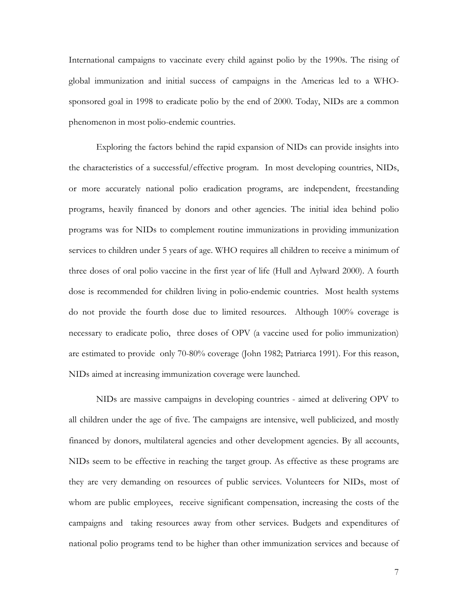International campaigns to vaccinate every child against polio by the 1990s. The rising of global immunization and initial success of campaigns in the Americas led to a WHOsponsored goal in 1998 to eradicate polio by the end of 2000. Today, NIDs are a common phenomenon in most polio-endemic countries.

 Exploring the factors behind the rapid expansion of NIDs can provide insights into the characteristics of a successful/effective program. In most developing countries, NIDs, or more accurately national polio eradication programs, are independent, freestanding programs, heavily financed by donors and other agencies. The initial idea behind polio programs was for NIDs to complement routine immunizations in providing immunization services to children under 5 years of age. WHO requires all children to receive a minimum of three doses of oral polio vaccine in the first year of life (Hull and Aylward 2000). A fourth dose is recommended for children living in polio-endemic countries. Most health systems do not provide the fourth dose due to limited resources. Although 100% coverage is necessary to eradicate polio, three doses of OPV (a vaccine used for polio immunization) are estimated to provide only 70-80% coverage (John 1982; Patriarca 1991). For this reason, NIDs aimed at increasing immunization coverage were launched.

 NIDs are massive campaigns in developing countries - aimed at delivering OPV to all children under the age of five. The campaigns are intensive, well publicized, and mostly financed by donors, multilateral agencies and other development agencies. By all accounts, NIDs seem to be effective in reaching the target group. As effective as these programs are they are very demanding on resources of public services. Volunteers for NIDs, most of whom are public employees, receive significant compensation, increasing the costs of the campaigns and taking resources away from other services. Budgets and expenditures of national polio programs tend to be higher than other immunization services and because of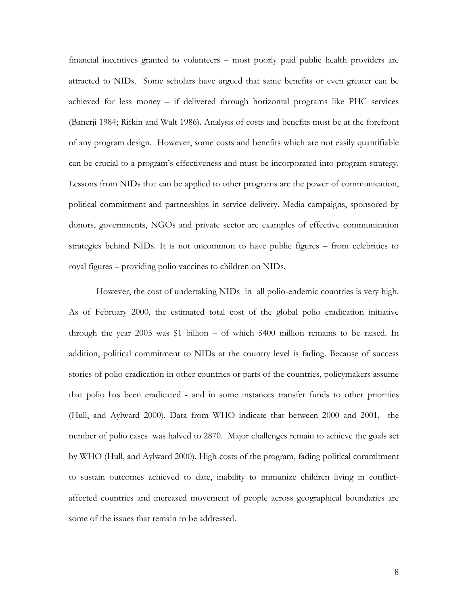financial incentives granted to volunteers – most poorly paid public health providers are attracted to NIDs. Some scholars have argued that same benefits or even greater can be achieved for less money – if delivered through horizontal programs like PHC services (Banerji 1984; Rifkin and Walt 1986). Analysis of costs and benefits must be at the forefront of any program design. However, some costs and benefits which are not easily quantifiable can be crucial to a program's effectiveness and must be incorporated into program strategy. Lessons from NIDs that can be applied to other programs are the power of communication, political commitment and partnerships in service delivery. Media campaigns, sponsored by donors, governments, NGOs and private sector are examples of effective communication strategies behind NIDs. It is not uncommon to have public figures – from celebrities to royal figures – providing polio vaccines to children on NIDs.

However, the cost of undertaking NIDs in all polio-endemic countries is very high. As of February 2000, the estimated total cost of the global polio eradication initiative through the year 2005 was \$1 billion – of which \$400 million remains to be raised. In addition, political commitment to NIDs at the country level is fading. Because of success stories of polio eradication in other countries or parts of the countries, policymakers assume that polio has been eradicated - and in some instances transfer funds to other priorities (Hull, and Aylward 2000). Data from WHO indicate that between 2000 and 2001, the number of polio cases was halved to 2870. Major challenges remain to achieve the goals set by WHO (Hull, and Aylward 2000). High costs of the program, fading political commitment to sustain outcomes achieved to date, inability to immunize children living in conflictaffected countries and increased movement of people across geographical boundaries are some of the issues that remain to be addressed.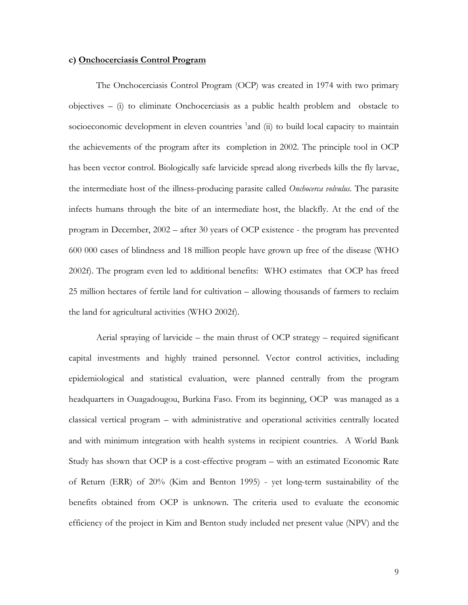#### **c) Onchocerciasis Control Program**

 The Onchocerciasis Control Program (OCP) was created in 1974 with two primary  $objectives - (i)$  to eliminate Onchocerciasis as a public health problem and obstacle to socioeconomic development in eleven countries  $1$  and (ii) to build local capacity to maintain the achievements of the program after its completion in 2002. The principle tool in OCP has been vector control. Biologically safe larvicide spread along riverbeds kills the fly larvae, the intermediate host of the illness-producing parasite called *Onchocerca volvulus.* The parasite infects humans through the bite of an intermediate host, the blackfly. At the end of the program in December, 2002 – after 30 years of OCP existence - the program has prevented 600 000 cases of blindness and 18 million people have grown up free of the disease (WHO 2002f). The program even led to additional benefits: WHO estimates that OCP has freed 25 million hectares of fertile land for cultivation – allowing thousands of farmers to reclaim the land for agricultural activities (WHO 2002f).

Aerial spraying of larvicide – the main thrust of OCP strategy – required significant capital investments and highly trained personnel. Vector control activities, including epidemiological and statistical evaluation, were planned centrally from the program headquarters in Ouagadougou, Burkina Faso. From its beginning, OCP was managed as a classical vertical program – with administrative and operational activities centrally located and with minimum integration with health systems in recipient countries. A World Bank Study has shown that OCP is a cost-effective program – with an estimated Economic Rate of Return (ERR) of 20% (Kim and Benton 1995) - yet long-term sustainability of the benefits obtained from OCP is unknown. The criteria used to evaluate the economic efficiency of the project in Kim and Benton study included net present value (NPV) and the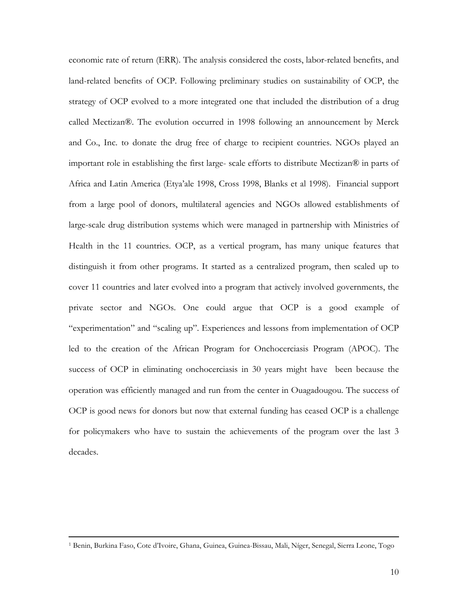economic rate of return (ERR). The analysis considered the costs, labor-related benefits, and land-related benefits of OCP. Following preliminary studies on sustainability of OCP, the strategy of OCP evolved to a more integrated one that included the distribution of a drug called Mectizan®. The evolution occurred in 1998 following an announcement by Merck and Co., Inc. to donate the drug free of charge to recipient countries. NGOs played an important role in establishing the first large- scale efforts to distribute Mectizan® in parts of Africa and Latin America (Etya'ale 1998, Cross 1998, Blanks et al 1998). Financial support from a large pool of donors, multilateral agencies and NGOs allowed establishments of large-scale drug distribution systems which were managed in partnership with Ministries of Health in the 11 countries. OCP, as a vertical program, has many unique features that distinguish it from other programs. It started as a centralized program, then scaled up to cover 11 countries and later evolved into a program that actively involved governments, the private sector and NGOs. One could argue that OCP is a good example of "experimentation" and "scaling up". Experiences and lessons from implementation of OCP led to the creation of the African Program for Onchocerciasis Program (APOC). The success of OCP in eliminating onchocerciasis in 30 years might have been because the operation was efficiently managed and run from the center in Ouagadougou. The success of OCP is good news for donors but now that external funding has ceased OCP is a challenge for policymakers who have to sustain the achievements of the program over the last 3 decades.

 <sup>1</sup> Benin, Burkina Faso, Cote d'Ivoire, Ghana, Guinea, Guinea-Bissau, Mali, Níger, Senegal, Sierra Leone, Togo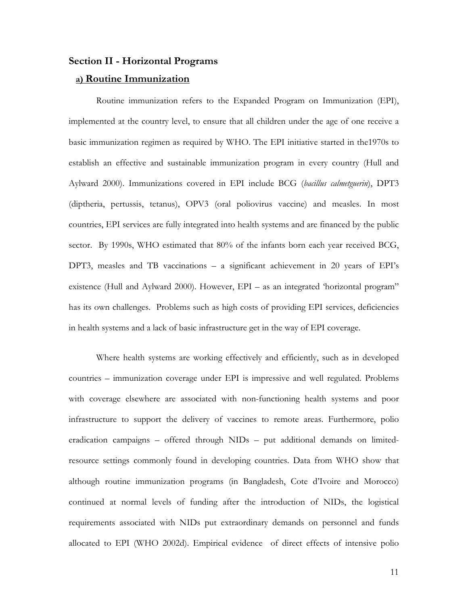## **Section II - Horizontal Programs**

## **a) Routine Immunization**

Routine immunization refers to the Expanded Program on Immunization (EPI), implemented at the country level, to ensure that all children under the age of one receive a basic immunization regimen as required by WHO. The EPI initiative started in the1970s to establish an effective and sustainable immunization program in every country (Hull and Aylward 2000). Immunizations covered in EPI include BCG (*bacillus calmetguerin*), DPT3 (diptheria, pertussis, tetanus), OPV3 (oral poliovirus vaccine) and measles. In most countries, EPI services are fully integrated into health systems and are financed by the public sector. By 1990s, WHO estimated that 80% of the infants born each year received BCG, DPT3, measles and TB vaccinations – a significant achievement in 20 years of EPI's existence (Hull and Aylward 2000). However, EPI – as an integrated 'horizontal program" has its own challenges. Problems such as high costs of providing EPI services, deficiencies in health systems and a lack of basic infrastructure get in the way of EPI coverage.

 Where health systems are working effectively and efficiently, such as in developed countries – immunization coverage under EPI is impressive and well regulated. Problems with coverage elsewhere are associated with non-functioning health systems and poor infrastructure to support the delivery of vaccines to remote areas. Furthermore, polio eradication campaigns – offered through NIDs – put additional demands on limitedresource settings commonly found in developing countries. Data from WHO show that although routine immunization programs (in Bangladesh, Cote d'Ivoire and Morocco) continued at normal levels of funding after the introduction of NIDs, the logistical requirements associated with NIDs put extraordinary demands on personnel and funds allocated to EPI (WHO 2002d). Empirical evidence of direct effects of intensive polio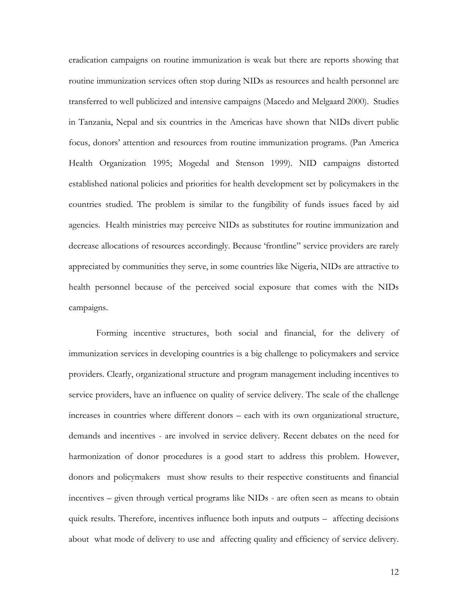eradication campaigns on routine immunization is weak but there are reports showing that routine immunization services often stop during NIDs as resources and health personnel are transferred to well publicized and intensive campaigns (Macedo and Melgaard 2000). Studies in Tanzania, Nepal and six countries in the Americas have shown that NIDs divert public focus, donors' attention and resources from routine immunization programs. (Pan America Health Organization 1995; Mogedal and Stenson 1999). NID campaigns distorted established national policies and priorities for health development set by policymakers in the countries studied. The problem is similar to the fungibility of funds issues faced by aid agencies. Health ministries may perceive NIDs as substitutes for routine immunization and decrease allocations of resources accordingly. Because 'frontline" service providers are rarely appreciated by communities they serve, in some countries like Nigeria, NIDs are attractive to health personnel because of the perceived social exposure that comes with the NIDs campaigns.

Forming incentive structures, both social and financial, for the delivery of immunization services in developing countries is a big challenge to policymakers and service providers. Clearly, organizational structure and program management including incentives to service providers, have an influence on quality of service delivery. The scale of the challenge increases in countries where different donors – each with its own organizational structure, demands and incentives - are involved in service delivery. Recent debates on the need for harmonization of donor procedures is a good start to address this problem. However, donors and policymakers must show results to their respective constituents and financial incentives – given through vertical programs like NIDs - are often seen as means to obtain quick results. Therefore, incentives influence both inputs and outputs – affecting decisions about what mode of delivery to use and affecting quality and efficiency of service delivery.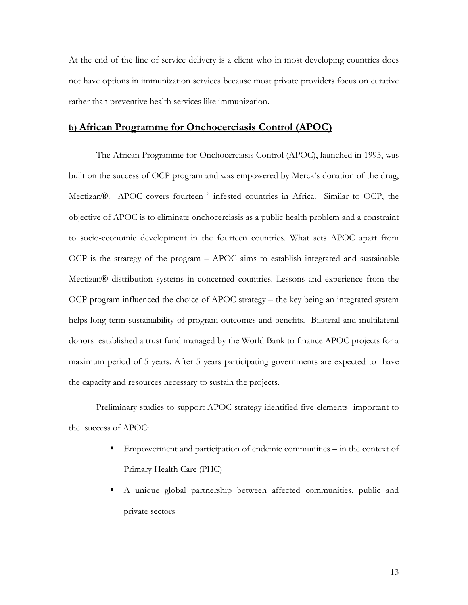At the end of the line of service delivery is a client who in most developing countries does not have options in immunization services because most private providers focus on curative rather than preventive health services like immunization.

# **b) African Programme for Onchocerciasis Control (APOC)**

 The African Programme for Onchocerciasis Control (APOC), launched in 1995, was built on the success of OCP program and was empowered by Merck's donation of the drug, Mectizan®. APOC covers fourteen<sup>2</sup> infested countries in Africa. Similar to OCP, the objective of APOC is to eliminate onchocerciasis as a public health problem and a constraint to socio-economic development in the fourteen countries. What sets APOC apart from OCP is the strategy of the program – APOC aims to establish integrated and sustainable Mectizan® distribution systems in concerned countries. Lessons and experience from the OCP program influenced the choice of APOC strategy – the key being an integrated system helps long-term sustainability of program outcomes and benefits. Bilateral and multilateral donors established a trust fund managed by the World Bank to finance APOC projects for a maximum period of 5 years. After 5 years participating governments are expected to have the capacity and resources necessary to sustain the projects.

 Preliminary studies to support APOC strategy identified five elements important to the success of APOC:

- Empowerment and participation of endemic communities in the context of Primary Health Care (PHC)
- A unique global partnership between affected communities, public and private sectors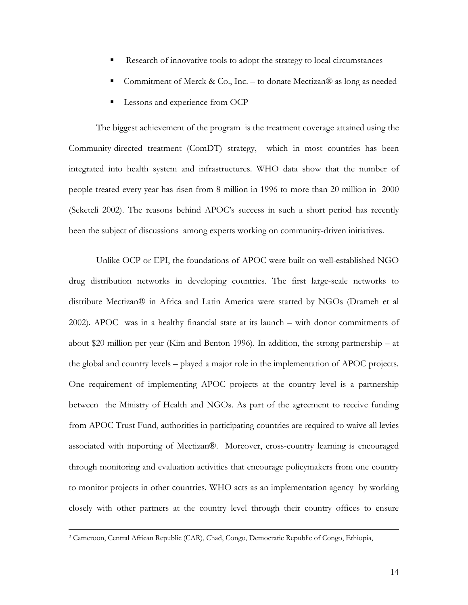- Research of innovative tools to adopt the strategy to local circumstances
- Commitment of Merck & Co., Inc. to donate Mectizan® as long as needed
- Lessons and experience from OCP

The biggest achievement of the program is the treatment coverage attained using the Community-directed treatment (ComDT) strategy, which in most countries has been integrated into health system and infrastructures. WHO data show that the number of people treated every year has risen from 8 million in 1996 to more than 20 million in 2000 (Seketeli 2002). The reasons behind APOC's success in such a short period has recently been the subject of discussions among experts working on community-driven initiatives.

 Unlike OCP or EPI, the foundations of APOC were built on well-established NGO drug distribution networks in developing countries. The first large-scale networks to distribute Mectizan® in Africa and Latin America were started by NGOs (Drameh et al 2002). APOC was in a healthy financial state at its launch – with donor commitments of about \$20 million per year (Kim and Benton 1996). In addition, the strong partnership – at the global and country levels – played a major role in the implementation of APOC projects. One requirement of implementing APOC projects at the country level is a partnership between the Ministry of Health and NGOs. As part of the agreement to receive funding from APOC Trust Fund, authorities in participating countries are required to waive all levies associated with importing of Mectizan®. Moreover, cross-country learning is encouraged through monitoring and evaluation activities that encourage policymakers from one country to monitor projects in other countries. WHO acts as an implementation agency by working closely with other partners at the country level through their country offices to ensure

 <sup>2</sup> Cameroon, Central African Republic (CAR), Chad, Congo, Democratic Republic of Congo, Ethiopia,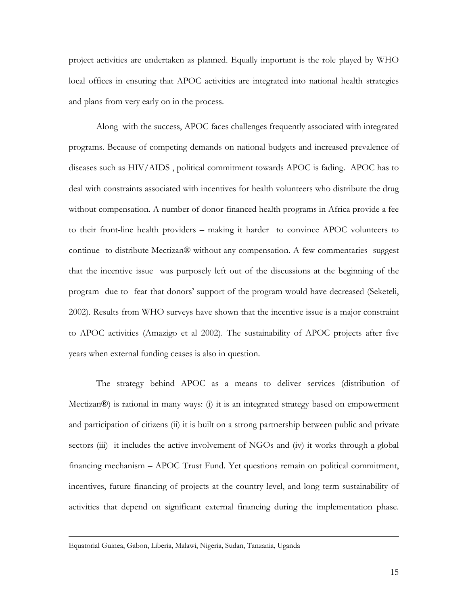project activities are undertaken as planned. Equally important is the role played by WHO local offices in ensuring that APOC activities are integrated into national health strategies and plans from very early on in the process.

 Along with the success, APOC faces challenges frequently associated with integrated programs. Because of competing demands on national budgets and increased prevalence of diseases such as HIV/AIDS , political commitment towards APOC is fading. APOC has to deal with constraints associated with incentives for health volunteers who distribute the drug without compensation. A number of donor-financed health programs in Africa provide a fee to their front-line health providers – making it harder to convince APOC volunteers to continue to distribute Mectizan® without any compensation. A few commentaries suggest that the incentive issue was purposely left out of the discussions at the beginning of the program due to fear that donors' support of the program would have decreased (Seketeli, 2002). Results from WHO surveys have shown that the incentive issue is a major constraint to APOC activities (Amazigo et al 2002). The sustainability of APOC projects after five years when external funding ceases is also in question.

 The strategy behind APOC as a means to deliver services (distribution of Mectizan®) is rational in many ways: (i) it is an integrated strategy based on empowerment and participation of citizens (ii) it is built on a strong partnership between public and private sectors (iii) it includes the active involvement of NGOs and (iv) it works through a global financing mechanism – APOC Trust Fund. Yet questions remain on political commitment, incentives, future financing of projects at the country level, and long term sustainability of activities that depend on significant external financing during the implementation phase.

Equatorial Guinea, Gabon, Liberia, Malawi, Nigeria, Sudan, Tanzania, Uganda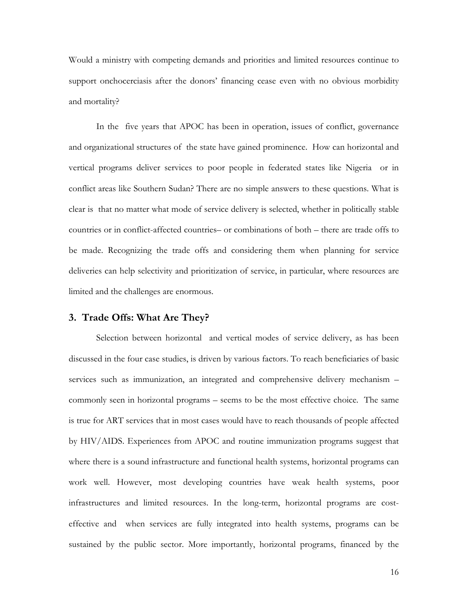Would a ministry with competing demands and priorities and limited resources continue to support onchocerciasis after the donors' financing cease even with no obvious morbidity and mortality?

In the five years that APOC has been in operation, issues of conflict, governance and organizational structures of the state have gained prominence. How can horizontal and vertical programs deliver services to poor people in federated states like Nigeria or in conflict areas like Southern Sudan? There are no simple answers to these questions. What is clear is that no matter what mode of service delivery is selected, whether in politically stable countries or in conflict-affected countries– or combinations of both – there are trade offs to be made. Recognizing the trade offs and considering them when planning for service deliveries can help selectivity and prioritization of service, in particular, where resources are limited and the challenges are enormous.

## **3. Trade Offs: What Are They?**

Selection between horizontal and vertical modes of service delivery, as has been discussed in the four case studies, is driven by various factors. To reach beneficiaries of basic services such as immunization, an integrated and comprehensive delivery mechanism – commonly seen in horizontal programs – seems to be the most effective choice. The same is true for ART services that in most cases would have to reach thousands of people affected by HIV/AIDS. Experiences from APOC and routine immunization programs suggest that where there is a sound infrastructure and functional health systems, horizontal programs can work well. However, most developing countries have weak health systems, poor infrastructures and limited resources. In the long-term, horizontal programs are costeffective and when services are fully integrated into health systems, programs can be sustained by the public sector. More importantly, horizontal programs, financed by the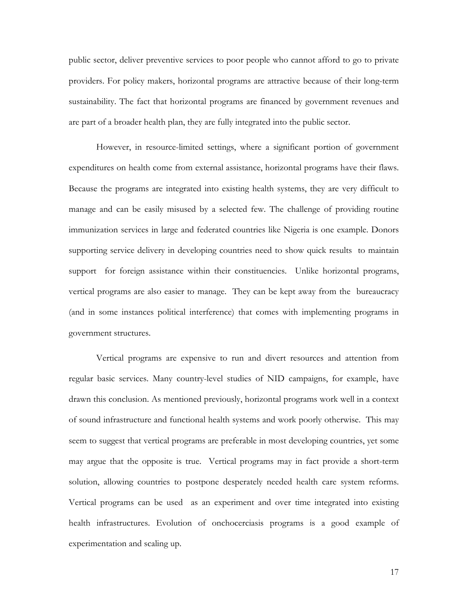public sector, deliver preventive services to poor people who cannot afford to go to private providers. For policy makers, horizontal programs are attractive because of their long-term sustainability. The fact that horizontal programs are financed by government revenues and are part of a broader health plan, they are fully integrated into the public sector.

However, in resource-limited settings, where a significant portion of government expenditures on health come from external assistance, horizontal programs have their flaws. Because the programs are integrated into existing health systems, they are very difficult to manage and can be easily misused by a selected few. The challenge of providing routine immunization services in large and federated countries like Nigeria is one example. Donors supporting service delivery in developing countries need to show quick results to maintain support for foreign assistance within their constituencies. Unlike horizontal programs, vertical programs are also easier to manage. They can be kept away from the bureaucracy (and in some instances political interference) that comes with implementing programs in government structures.

Vertical programs are expensive to run and divert resources and attention from regular basic services. Many country-level studies of NID campaigns, for example, have drawn this conclusion. As mentioned previously, horizontal programs work well in a context of sound infrastructure and functional health systems and work poorly otherwise. This may seem to suggest that vertical programs are preferable in most developing countries, yet some may argue that the opposite is true. Vertical programs may in fact provide a short-term solution, allowing countries to postpone desperately needed health care system reforms. Vertical programs can be used as an experiment and over time integrated into existing health infrastructures. Evolution of onchocerciasis programs is a good example of experimentation and scaling up.

17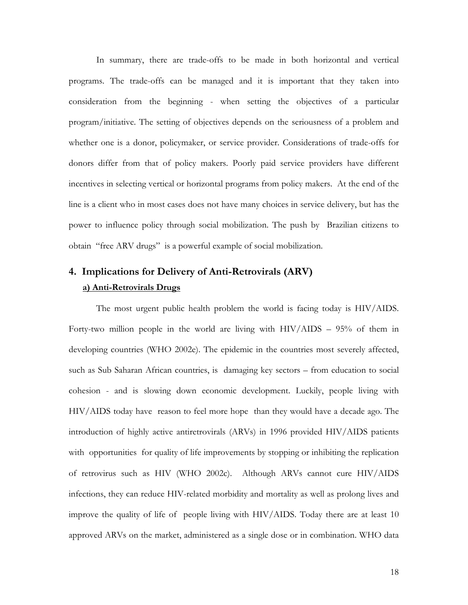In summary, there are trade-offs to be made in both horizontal and vertical programs. The trade-offs can be managed and it is important that they taken into consideration from the beginning - when setting the objectives of a particular program/initiative. The setting of objectives depends on the seriousness of a problem and whether one is a donor, policymaker, or service provider. Considerations of trade-offs for donors differ from that of policy makers. Poorly paid service providers have different incentives in selecting vertical or horizontal programs from policy makers. At the end of the line is a client who in most cases does not have many choices in service delivery, but has the power to influence policy through social mobilization. The push by Brazilian citizens to obtain "free ARV drugs" is a powerful example of social mobilization.

# **4. Implications for Delivery of Anti-Retrovirals (ARV) a) Anti-Retrovirals Drugs**

 The most urgent public health problem the world is facing today is HIV/AIDS. Forty-two million people in the world are living with HIV/AIDS – 95% of them in developing countries (WHO 2002e). The epidemic in the countries most severely affected, such as Sub Saharan African countries, is damaging key sectors – from education to social cohesion - and is slowing down economic development. Luckily, people living with HIV/AIDS today have reason to feel more hope than they would have a decade ago. The introduction of highly active antiretrovirals (ARVs) in 1996 provided HIV/AIDS patients with opportunities for quality of life improvements by stopping or inhibiting the replication of retrovirus such as HIV (WHO 2002c). Although ARVs cannot cure HIV/AIDS infections, they can reduce HIV-related morbidity and mortality as well as prolong lives and improve the quality of life of people living with HIV/AIDS. Today there are at least 10 approved ARVs on the market, administered as a single dose or in combination. WHO data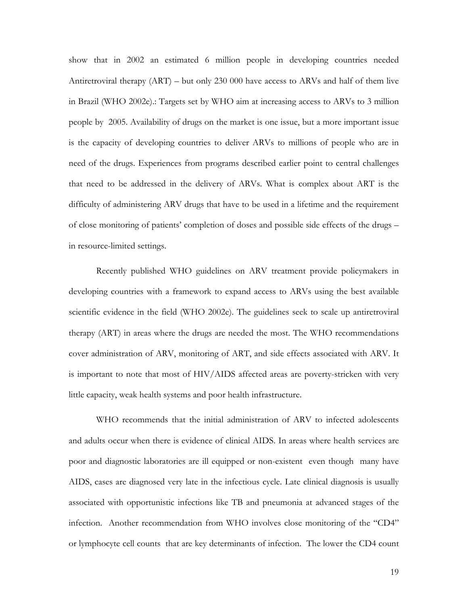show that in 2002 an estimated 6 million people in developing countries needed Antiretroviral therapy (ART) – but only 230 000 have access to ARVs and half of them live in Brazil (WHO 2002e).: Targets set by WHO aim at increasing access to ARVs to 3 million people by 2005. Availability of drugs on the market is one issue, but a more important issue is the capacity of developing countries to deliver ARVs to millions of people who are in need of the drugs. Experiences from programs described earlier point to central challenges that need to be addressed in the delivery of ARVs. What is complex about ART is the difficulty of administering ARV drugs that have to be used in a lifetime and the requirement of close monitoring of patients' completion of doses and possible side effects of the drugs – in resource-limited settings.

 Recently published WHO guidelines on ARV treatment provide policymakers in developing countries with a framework to expand access to ARVs using the best available scientific evidence in the field (WHO 2002e). The guidelines seek to scale up antiretroviral therapy (ART) in areas where the drugs are needed the most. The WHO recommendations cover administration of ARV, monitoring of ART, and side effects associated with ARV. It is important to note that most of HIV/AIDS affected areas are poverty-stricken with very little capacity, weak health systems and poor health infrastructure.

WHO recommends that the initial administration of ARV to infected adolescents and adults occur when there is evidence of clinical AIDS. In areas where health services are poor and diagnostic laboratories are ill equipped or non-existent even though many have AIDS, cases are diagnosed very late in the infectious cycle. Late clinical diagnosis is usually associated with opportunistic infections like TB and pneumonia at advanced stages of the infection. Another recommendation from WHO involves close monitoring of the "CD4" or lymphocyte cell counts that are key determinants of infection. The lower the CD4 count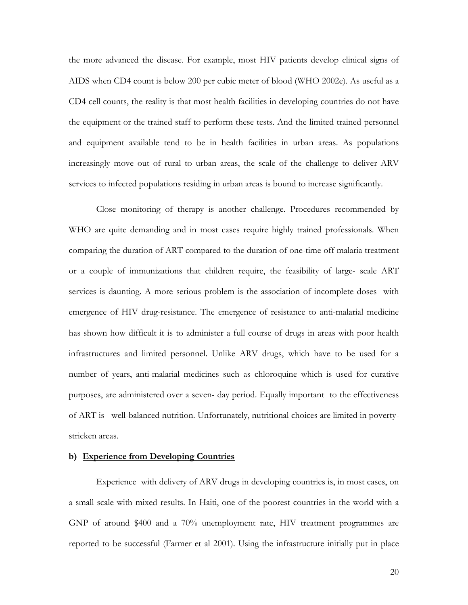the more advanced the disease. For example, most HIV patients develop clinical signs of AIDS when CD4 count is below 200 per cubic meter of blood (WHO 2002e). As useful as a CD4 cell counts, the reality is that most health facilities in developing countries do not have the equipment or the trained staff to perform these tests. And the limited trained personnel and equipment available tend to be in health facilities in urban areas. As populations increasingly move out of rural to urban areas, the scale of the challenge to deliver ARV services to infected populations residing in urban areas is bound to increase significantly.

Close monitoring of therapy is another challenge. Procedures recommended by WHO are quite demanding and in most cases require highly trained professionals. When comparing the duration of ART compared to the duration of one-time off malaria treatment or a couple of immunizations that children require, the feasibility of large- scale ART services is daunting. A more serious problem is the association of incomplete doses with emergence of HIV drug-resistance. The emergence of resistance to anti-malarial medicine has shown how difficult it is to administer a full course of drugs in areas with poor health infrastructures and limited personnel. Unlike ARV drugs, which have to be used for a number of years, anti-malarial medicines such as chloroquine which is used for curative purposes, are administered over a seven- day period. Equally important to the effectiveness of ART is well-balanced nutrition. Unfortunately, nutritional choices are limited in povertystricken areas.

#### **b) Experience from Developing Countries**

Experience with delivery of ARV drugs in developing countries is, in most cases, on a small scale with mixed results. In Haiti, one of the poorest countries in the world with a GNP of around \$400 and a 70% unemployment rate, HIV treatment programmes are reported to be successful (Farmer et al 2001). Using the infrastructure initially put in place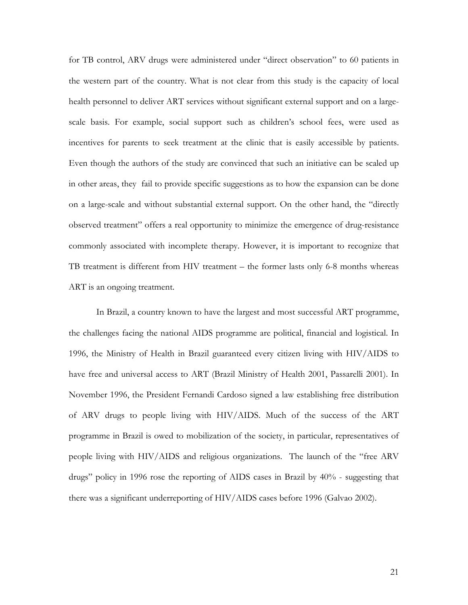for TB control, ARV drugs were administered under "direct observation" to 60 patients in the western part of the country. What is not clear from this study is the capacity of local health personnel to deliver ART services without significant external support and on a largescale basis. For example, social support such as children's school fees, were used as incentives for parents to seek treatment at the clinic that is easily accessible by patients. Even though the authors of the study are convinced that such an initiative can be scaled up in other areas, they fail to provide specific suggestions as to how the expansion can be done on a large-scale and without substantial external support. On the other hand, the "directly observed treatment" offers a real opportunity to minimize the emergence of drug-resistance commonly associated with incomplete therapy. However, it is important to recognize that TB treatment is different from HIV treatment – the former lasts only 6-8 months whereas ART is an ongoing treatment.

In Brazil, a country known to have the largest and most successful ART programme, the challenges facing the national AIDS programme are political, financial and logistical. In 1996, the Ministry of Health in Brazil guaranteed every citizen living with HIV/AIDS to have free and universal access to ART (Brazil Ministry of Health 2001, Passarelli 2001). In November 1996, the President Fernandi Cardoso signed a law establishing free distribution of ARV drugs to people living with HIV/AIDS. Much of the success of the ART programme in Brazil is owed to mobilization of the society, in particular, representatives of people living with HIV/AIDS and religious organizations. The launch of the "free ARV drugs" policy in 1996 rose the reporting of AIDS cases in Brazil by 40% - suggesting that there was a significant underreporting of HIV/AIDS cases before 1996 (Galvao 2002).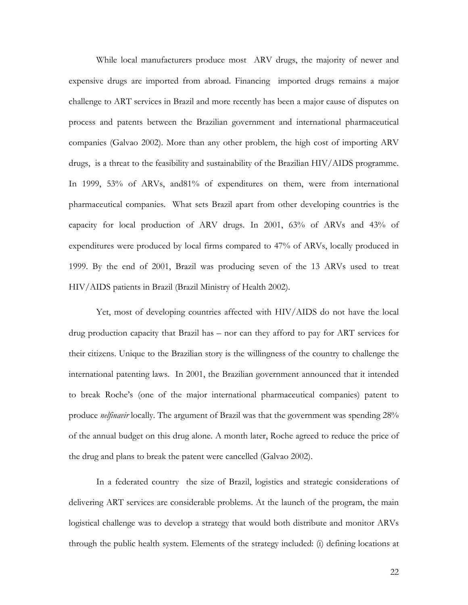While local manufacturers produce most ARV drugs, the majority of newer and expensive drugs are imported from abroad. Financing imported drugs remains a major challenge to ART services in Brazil and more recently has been a major cause of disputes on process and patents between the Brazilian government and international pharmaceutical companies (Galvao 2002). More than any other problem, the high cost of importing ARV drugs, is a threat to the feasibility and sustainability of the Brazilian HIV/AIDS programme. In 1999, 53% of ARVs, and81% of expenditures on them, were from international pharmaceutical companies. What sets Brazil apart from other developing countries is the capacity for local production of ARV drugs. In 2001, 63% of ARVs and 43% of expenditures were produced by local firms compared to 47% of ARVs, locally produced in 1999. By the end of 2001, Brazil was producing seven of the 13 ARVs used to treat HIV/AIDS patients in Brazil (Brazil Ministry of Health 2002).

Yet, most of developing countries affected with HIV/AIDS do not have the local drug production capacity that Brazil has – nor can they afford to pay for ART services for their citizens. Unique to the Brazilian story is the willingness of the country to challenge the international patenting laws. In 2001, the Brazilian government announced that it intended to break Roche's (one of the major international pharmaceutical companies) patent to produce *nelfinavir* locally. The argument of Brazil was that the government was spending 28% of the annual budget on this drug alone. A month later, Roche agreed to reduce the price of the drug and plans to break the patent were cancelled (Galvao 2002).

In a federated country the size of Brazil, logistics and strategic considerations of delivering ART services are considerable problems. At the launch of the program, the main logistical challenge was to develop a strategy that would both distribute and monitor ARVs through the public health system. Elements of the strategy included: (i) defining locations at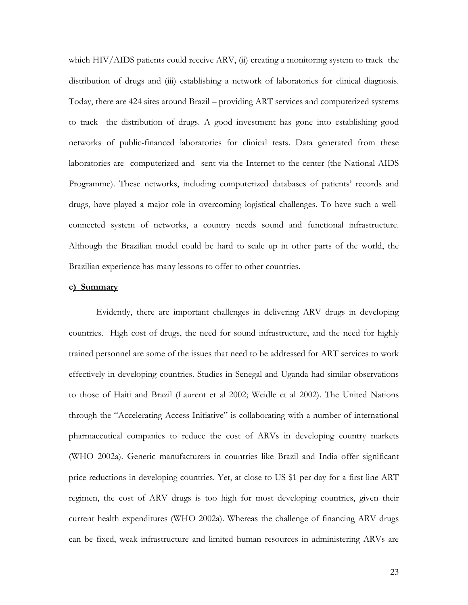which HIV/AIDS patients could receive ARV, (ii) creating a monitoring system to track the distribution of drugs and (iii) establishing a network of laboratories for clinical diagnosis. Today, there are 424 sites around Brazil – providing ART services and computerized systems to track the distribution of drugs. A good investment has gone into establishing good networks of public-financed laboratories for clinical tests. Data generated from these laboratories are computerized and sent via the Internet to the center (the National AIDS Programme). These networks, including computerized databases of patients' records and drugs, have played a major role in overcoming logistical challenges. To have such a wellconnected system of networks, a country needs sound and functional infrastructure. Although the Brazilian model could be hard to scale up in other parts of the world, the Brazilian experience has many lessons to offer to other countries.

#### **c) Summary**

Evidently, there are important challenges in delivering ARV drugs in developing countries. High cost of drugs, the need for sound infrastructure, and the need for highly trained personnel are some of the issues that need to be addressed for ART services to work effectively in developing countries. Studies in Senegal and Uganda had similar observations to those of Haiti and Brazil (Laurent et al 2002; Weidle et al 2002). The United Nations through the "Accelerating Access Initiative" is collaborating with a number of international pharmaceutical companies to reduce the cost of ARVs in developing country markets (WHO 2002a). Generic manufacturers in countries like Brazil and India offer significant price reductions in developing countries. Yet, at close to US \$1 per day for a first line ART regimen, the cost of ARV drugs is too high for most developing countries, given their current health expenditures (WHO 2002a). Whereas the challenge of financing ARV drugs can be fixed, weak infrastructure and limited human resources in administering ARVs are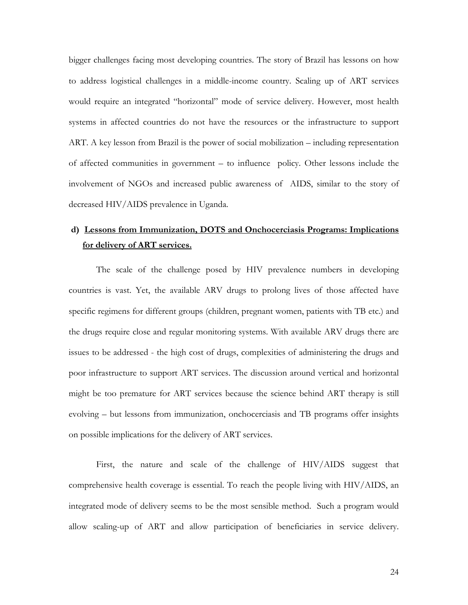bigger challenges facing most developing countries. The story of Brazil has lessons on how to address logistical challenges in a middle-income country. Scaling up of ART services would require an integrated "horizontal" mode of service delivery. However, most health systems in affected countries do not have the resources or the infrastructure to support ART. A key lesson from Brazil is the power of social mobilization – including representation of affected communities in government – to influence policy. Other lessons include the involvement of NGOs and increased public awareness of AIDS, similar to the story of decreased HIV/AIDS prevalence in Uganda.

# **d) Lessons from Immunization, DOTS and Onchocerciasis Programs: Implications for delivery of ART services.**

The scale of the challenge posed by HIV prevalence numbers in developing countries is vast. Yet, the available ARV drugs to prolong lives of those affected have specific regimens for different groups (children, pregnant women, patients with TB etc.) and the drugs require close and regular monitoring systems. With available ARV drugs there are issues to be addressed - the high cost of drugs, complexities of administering the drugs and poor infrastructure to support ART services. The discussion around vertical and horizontal might be too premature for ART services because the science behind ART therapy is still evolving – but lessons from immunization, onchocerciasis and TB programs offer insights on possible implications for the delivery of ART services.

 First, the nature and scale of the challenge of HIV/AIDS suggest that comprehensive health coverage is essential. To reach the people living with HIV/AIDS, an integrated mode of delivery seems to be the most sensible method. Such a program would allow scaling-up of ART and allow participation of beneficiaries in service delivery.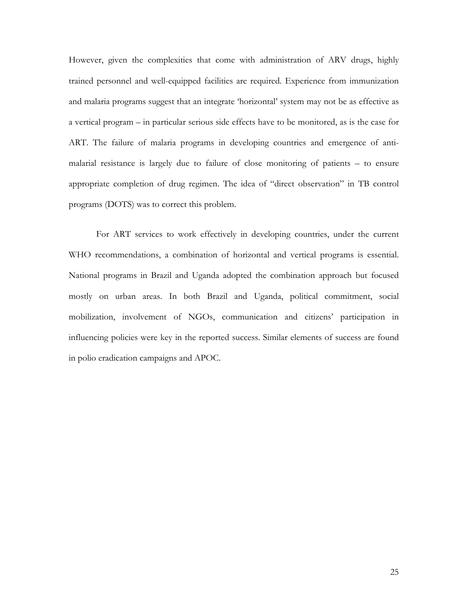However, given the complexities that come with administration of ARV drugs, highly trained personnel and well-equipped facilities are required. Experience from immunization and malaria programs suggest that an integrate 'horizontal' system may not be as effective as a vertical program – in particular serious side effects have to be monitored, as is the case for ART. The failure of malaria programs in developing countries and emergence of antimalarial resistance is largely due to failure of close monitoring of patients – to ensure appropriate completion of drug regimen. The idea of "direct observation" in TB control programs (DOTS) was to correct this problem.

For ART services to work effectively in developing countries, under the current WHO recommendations, a combination of horizontal and vertical programs is essential. National programs in Brazil and Uganda adopted the combination approach but focused mostly on urban areas. In both Brazil and Uganda, political commitment, social mobilization, involvement of NGOs, communication and citizens' participation in influencing policies were key in the reported success. Similar elements of success are found in polio eradication campaigns and APOC.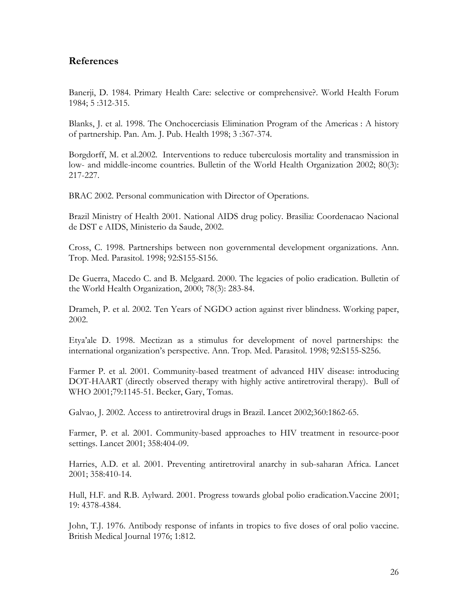# **References**

Banerji, D. 1984. Primary Health Care: selective or comprehensive?. World Health Forum 1984; 5 :312-315.

Blanks, J. et al. 1998. The Onchocerciasis Elimination Program of the Americas : A history of partnership. Pan. Am. J. Pub. Health 1998; 3 :367-374.

Borgdorff, M. et al.2002. Interventions to reduce tuberculosis mortality and transmission in low- and middle-income countries. Bulletin of the World Health Organization 2002; 80(3): 217-227.

BRAC 2002. Personal communication with Director of Operations.

Brazil Ministry of Health 2001. National AIDS drug policy. Brasilia: Coordenacao Nacional de DST e AIDS, Ministerio da Saude, 2002.

Cross, C. 1998. Partnerships between non governmental development organizations. Ann. Trop. Med. Parasitol. 1998; 92:S155-S156.

De Guerra, Macedo C. and B. Melgaard. 2000. The legacies of polio eradication. Bulletin of the World Health Organization, 2000; 78(3): 283-84.

Drameh, P. et al. 2002. Ten Years of NGDO action against river blindness. Working paper, 2002.

Etya'ale D. 1998. Mectizan as a stimulus for development of novel partnerships: the international organization's perspective. Ann. Trop. Med. Parasitol. 1998; 92:S155-S256.

Farmer P. et al. 2001. Community-based treatment of advanced HIV disease: introducing DOT-HAART (directly observed therapy with highly active antiretroviral therapy). Bull of WHO 2001;79:1145-51. Becker, Gary, Tomas.

Galvao, J. 2002. Access to antiretroviral drugs in Brazil. Lancet 2002;360:1862-65.

Farmer, P. et al. 2001. Community-based approaches to HIV treatment in resource-poor settings. Lancet 2001; 358:404-09.

Harries, A.D. et al. 2001. Preventing antiretroviral anarchy in sub-saharan Africa. Lancet 2001; 358:410-14.

Hull, H.F. and R.B. Aylward. 2001. Progress towards global polio eradication.Vaccine 2001; 19: 4378-4384.

John, T.J. 1976. Antibody response of infants in tropics to five doses of oral polio vaccine. British Medical Journal 1976; 1:812.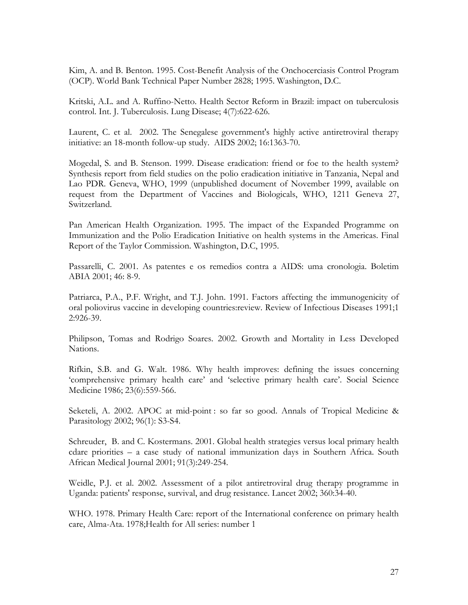Kim, A. and B. Benton. 1995. Cost-Benefit Analysis of the Onchocerciasis Control Program (OCP). World Bank Technical Paper Number 2828; 1995. Washington, D.C.

Kritski, A.L. and A. Ruffino-Netto. Health Sector Reform in Brazil: impact on tuberculosis control. Int. J. Tuberculosis. Lung Disease; 4(7):622-626.

Laurent, C. et al. 2002. The Senegalese government's highly active antiretroviral therapy initiative: an 18-month follow-up study. AIDS 2002; 16:1363-70.

Mogedal, S. and B. Stenson. 1999. Disease eradication: friend or foe to the health system? Synthesis report from field studies on the polio eradication initiative in Tanzania, Nepal and Lao PDR. Geneva, WHO, 1999 (unpublished document of November 1999, available on request from the Department of Vaccines and Biologicals, WHO, 1211 Geneva 27, Switzerland.

Pan American Health Organization. 1995. The impact of the Expanded Programme on Immunization and the Polio Eradication Initiative on health systems in the Americas. Final Report of the Taylor Commission. Washington, D.C, 1995.

Passarelli, C. 2001. As patentes e os remedios contra a AIDS: uma cronologia. Boletim ABIA 2001; 46: 8-9.

Patriarca, P.A., P.F. Wright, and T.J. John. 1991. Factors affecting the immunogenicity of oral poliovirus vaccine in developing countries:review. Review of Infectious Diseases 1991;1 2:926-39.

Philipson, Tomas and Rodrigo Soares. 2002. Growth and Mortality in Less Developed Nations.

Rifkin, S.B. and G. Walt. 1986. Why health improves: defining the issues concerning 'comprehensive primary health care' and 'selective primary health care'. Social Science Medicine 1986; 23(6):559-566.

Seketeli, A. 2002. APOC at mid-point : so far so good. Annals of Tropical Medicine & Parasitology 2002; 96(1): S3-S4.

Schreuder, B. and C. Kostermans. 2001. Global health strategies versus local primary health cdare priorities – a case study of national immunization days in Southern Africa. South African Medical Journal 2001; 91(3):249-254.

Weidle, P.J. et al. 2002. Assessment of a pilot antiretroviral drug therapy programme in Uganda: patients' response, survival, and drug resistance. Lancet 2002; 360:34-40.

WHO. 1978. Primary Health Care: report of the International conference on primary health care, Alma-Ata. 1978;Health for All series: number 1